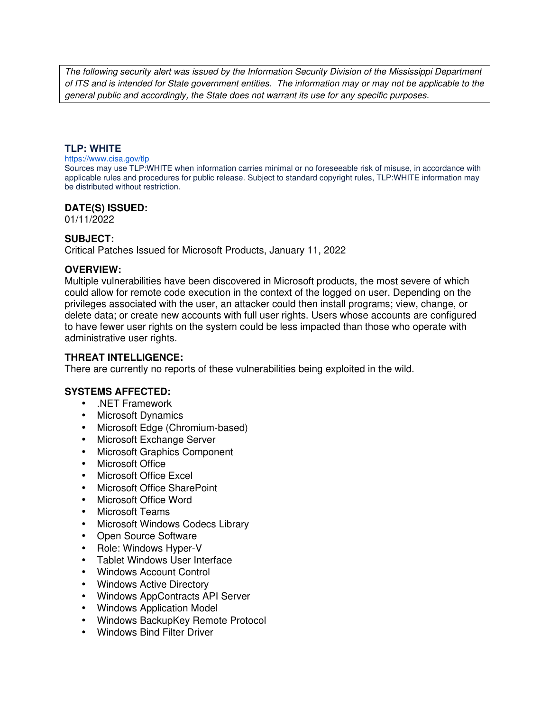The following security alert was issued by the Information Security Division of the Mississippi Department of ITS and is intended for State government entities. The information may or may not be applicable to the general public and accordingly, the State does not warrant its use for any specific purposes.

#### **TLP: WHITE**

#### https://www.cisa.gov/tlp

Sources may use TLP:WHITE when information carries minimal or no foreseeable risk of misuse, in accordance with applicable rules and procedures for public release. Subject to standard copyright rules, TLP:WHITE information may be distributed without restriction.

#### **DATE(S) ISSUED:**

01/11/2022

### **SUBJECT:**

Critical Patches Issued for Microsoft Products, January 11, 2022

### **OVERVIEW:**

Multiple vulnerabilities have been discovered in Microsoft products, the most severe of which could allow for remote code execution in the context of the logged on user. Depending on the privileges associated with the user, an attacker could then install programs; view, change, or delete data; or create new accounts with full user rights. Users whose accounts are configured to have fewer user rights on the system could be less impacted than those who operate with administrative user rights.

#### **THREAT INTELLIGENCE:**

There are currently no reports of these vulnerabilities being exploited in the wild.

## **SYSTEMS AFFECTED:**

- .NET Framework
- Microsoft Dynamics
- Microsoft Edge (Chromium-based)
- Microsoft Exchange Server
- Microsoft Graphics Component
- Microsoft Office
- Microsoft Office Excel
- Microsoft Office SharePoint
- Microsoft Office Word
- Microsoft Teams
- Microsoft Windows Codecs Library
- Open Source Software
- Role: Windows Hyper-V
- Tablet Windows User Interface
- Windows Account Control
- Windows Active Directory
- Windows AppContracts API Server
- Windows Application Model
- Windows BackupKey Remote Protocol
- Windows Bind Filter Driver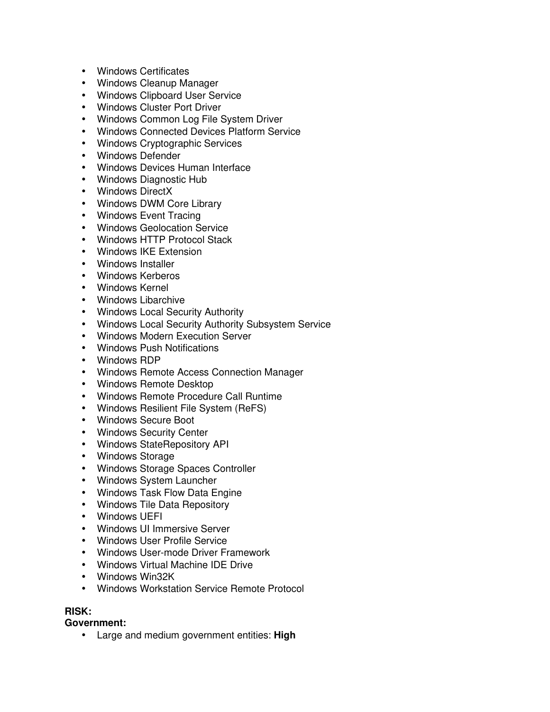- Windows Certificates
- Windows Cleanup Manager
- Windows Clipboard User Service
- Windows Cluster Port Driver
- Windows Common Log File System Driver
- Windows Connected Devices Platform Service
- Windows Cryptographic Services
- Windows Defender
- Windows Devices Human Interface
- Windows Diagnostic Hub
- Windows DirectX
- Windows DWM Core Library
- Windows Event Tracing
- Windows Geolocation Service
- Windows HTTP Protocol Stack
- Windows IKE Extension
- Windows Installer
- Windows Kerberos
- Windows Kernel
- Windows Libarchive
- Windows Local Security Authority
- Windows Local Security Authority Subsystem Service
- Windows Modern Execution Server
- Windows Push Notifications
- Windows RDP
- Windows Remote Access Connection Manager
- Windows Remote Desktop
- Windows Remote Procedure Call Runtime
- Windows Resilient File System (ReFS)
- Windows Secure Boot
- Windows Security Center
- Windows StateRepository API
- Windows Storage
- Windows Storage Spaces Controller
- Windows System Launcher
- Windows Task Flow Data Engine
- Windows Tile Data Repository
- Windows UEFI
- Windows UI Immersive Server
- Windows User Profile Service
- Windows User-mode Driver Framework
- Windows Virtual Machine IDE Drive
- Windows Win32K
- Windows Workstation Service Remote Protocol

# **RISK:**

**Government:**

• Large and medium government entities: **High**